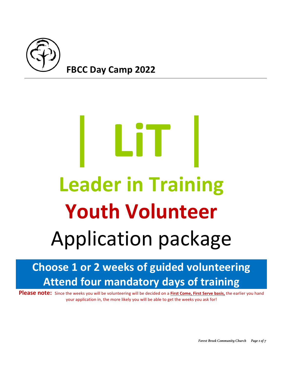

# |**LiT**| **Leader in Training Youth Volunteer** Application package

# **Choose 1 or 2 weeks of guided volunteering Attend four mandatory days of training**

**Please note:** Since the weeks you will be volunteering will be decided on a First Come, First Serve basis, the earlier you hand your application in, the more likely you will be able to get the weeks you ask for!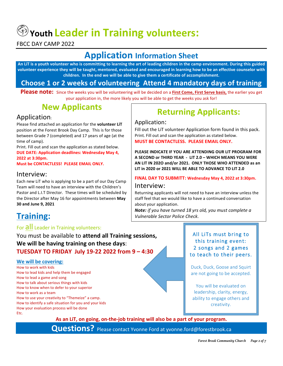$\circledast$  Youth Leader in Training volunteers:

FBCC DAY CAMP 2022

# **Application Information Sheet**

An LiT is a youth volunteer who is committing to learning the art of leading children in the camp environment. During this guided volunteer experience they will be taught, mentored, evaluated and encouraged in learning how to be an effective counselor with children. In the end we will be able to give them a certificate of accomplishment.

### **Choose 1 or 2 weeks of volunteering Attend 4 mandatory days of training**

**Please note:** Since the weeks you will be volunteering will be decided on a First Come, First Serve basis, the earlier you get your application in, the more likely you will be able to get the weeks you ask for!

## **New Applicants**

#### Application:

Please find attached an application for the **volunteer LiT** position at the Forest Brook Day Camp. This is for those between Grade 7 (completed) and 17 years of age (at the time of camp).

Print. Fill out and scan the application as stated below. **DUE DATE: Application deadlines: Wednesday May 4, 2022 at 3:30pm.** 

**Must be CONTACTLESS! PLEASE EMAIL ONLY.** 

#### Interview:

Each new LiT who is applying to be a part of our Day Camp Team will need to have an interview with the Children's Pastor and L.I.T Director. These times will be scheduled by the Director after May 16 for appointments between May **30 and June 9, 2021**

# **Training:**

#### For **all** Leader in Training volunteers:

You must be available to attend all Training sessions, We will be having training on these days: **TUESDAY TO FRIDAY July 19-22 2022 from 9 – 4:30**

#### **We will be covering:**

How to work with kids How to lead kids and help them be engaged How to lead a game and song How to talk about serious things with kids How to know when to defer to your superior How to work as a team How to use your creativity to "Themeize" a camp. How to identify a safe situation for you and your kids How your evaluation process will be done Etc.

# **Returning Applicants:**

#### Application:

Fill out the LiT volunteer Application form found in this pack. Print. Fill out and scan the application as stated below. **MUST BE CONTACTLESS. PLEASE EMAIL ONLY.** 

**PLEASE INDICATE IF YOU ARE ATTENDING OUR LIT PROGRAM FOR A SECOND or THIRD YEAR - LIT 2.0 - WHICH MEANS YOU WERE** AN LIT IN 202O and/or 2021. ONLY THOSE WHO ATTENDED as an LIT in 2020 or 2021 WILL BE ABLE TO ADVANCE TO LIT 2.0

## **FINAL DAY TO SUBMITT: Wednesday May 4, 2022 at 3:30pm.**

#### Interview:

Returning applicants will not need to have an interview unless the staff feel that we would like to have a continued conversation about your application.

**Note:** if you have turned 18 yrs old, you must complete a *Vulnerable Sector Police Check.*

#### All LiTs must bring to this training event: 2 songs and 2 games to teach to their peers.

Duck, Duck, Goose and Squirt are not going to be accepted.

You will be evaluated on leadership, clarity, energy, ability to engage others and creativity.

As an LiT, on going, on-the-job training will also be a part of your program.

**Questions?** Please contact Yvonne Ford at yvonne.ford@forestbrook.ca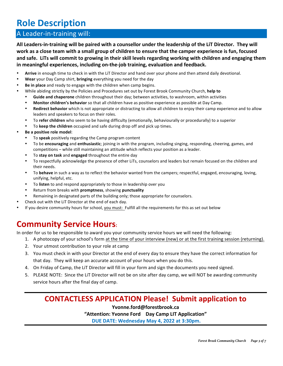# **Role Description**

#### A Leader-in-training will:

All Leaders-in-training will be paired with a counsellor under the leadership of the LiT Director. They will work as a close team with a small group of children to ensure that the camper experience is fun, focused and safe. LiTs will commit to growing in their skill levels regarding working with children and engaging them in meaningful experiences, including on-the-job training, evaluation and feedback.

- Arrive in enough time to check in with the LiT Director and hand over your phone and then attend daily devotional.
- **Wear** your Day Camp shirt, **bringing** everything you need for the day
- **Be in place** and ready to engage with the children when camp begins.
- While abiding strictly by the Policies and Procedures set out by Forest Brook Community Church, help to
	- Guide and chaperone children throughout their day; between activities, to washroom, within activities
	- **Monitor children's behavior** so that all children have as positive experience as possible at Day Camp.
	- **Redirect behavior** which is not appropriate or distracting to allow all children to enjoy their camp experience and to allow leaders and speakers to focus on their roles.
	- To refer children who seem to be having difficulty (emotionally, behaviourally or procedurally) to a superior
	- To **keep the children** occupied and safe during drop off and pick up times.
- **Be a positive role model:** 
	- To **speak** positively regarding the Camp program content
	- To be **encouraging** and **enthusiastic**; joining in with the program, including singing, responding, cheering, games, and competitions - while still maintaining an attitude which reflects your position as a leader.
	- To stay on task and engaged throughout the entire day
	- To respectfully acknowledge the presence of other LiTs, counselors and leaders but remain focused on the children and their needs.
	- To behave in such a way as to reflect the behavior wanted from the campers; respectful, engaged, encouraging, loving, unifying, helpful, etc.
	- To **listen** to and respond appropriately to those in leadership over you
	- Return from breaks with **promptness**, showing **punctuality**
	- Remaining in designated parts of the building only; those appropriate for counselors.
- Check out with the LiT Director at the end of each day.
- If you desire community hours for school, you must: Fulfill all the requirements for this as set out below

## **Community Service Hours:**

In order for us to be responsible to award you your community service hours we will need the following:

- 1. A photocopy of your school's form at the time of your interview (new) or at the first training session (returning).
- 2. Your utmost contribution to your role at camp
- 3. You must check in with your Director at the end of every day to ensure they have the correct information for that day. They will keep an accurate account of your hours when you do this.
- 4. On Friday of Camp, the LiT Director will fill in your form and sign the documents you need signed.
- 5. PLEASE NOTE: Since the LiT Director will not be on site after day camp, we will NOT be awarding community service hours after the final day of camp.

#### **CONTACTLESS APPLICATION Please! Submit application to**

**Yvonne.ford@forestbrook.ca** "Attention: Yvonne Ford Day Camp LIT Application" **DUE DATE: Wednesday May 4, 2022 at 3:30pm.**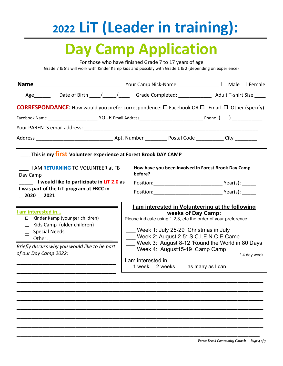# **2022 LiT (Leader in training):**

# **Day Camp Application**

For those who have finished Grade 7 to 17 years of age Grade 7 & 8's will work with Kinder Kamp kids and possibly with Grade 1 & 2 (depending on experience)<br>

| <b>Name</b>                                                                                                                                                                                   |                                                                                                                                                                                                                                                                                                                                                                                  |              |
|-----------------------------------------------------------------------------------------------------------------------------------------------------------------------------------------------|----------------------------------------------------------------------------------------------------------------------------------------------------------------------------------------------------------------------------------------------------------------------------------------------------------------------------------------------------------------------------------|--------------|
| Age ________  Date of Birth _____/______/ _______ Grade Completed: _______________ Adult T-shirt Size _____                                                                                   |                                                                                                                                                                                                                                                                                                                                                                                  |              |
| <b>CORRESPONDANCE:</b> How would you prefer correspondence: $\Box$ Facebook OR $\Box$ Email $\Box$ Other (specify)                                                                            |                                                                                                                                                                                                                                                                                                                                                                                  |              |
|                                                                                                                                                                                               |                                                                                                                                                                                                                                                                                                                                                                                  |              |
|                                                                                                                                                                                               |                                                                                                                                                                                                                                                                                                                                                                                  |              |
|                                                                                                                                                                                               |                                                                                                                                                                                                                                                                                                                                                                                  |              |
| This is my first Volunteer experience at Forest Brook DAY CAMP                                                                                                                                |                                                                                                                                                                                                                                                                                                                                                                                  |              |
| I AM RETURNING TO VOLUNTEER at FB<br>Day Camp                                                                                                                                                 | How have you been involved in Forest Brook Day Camp<br>before?                                                                                                                                                                                                                                                                                                                   |              |
| I would like to participate in LiT 2.0 as                                                                                                                                                     |                                                                                                                                                                                                                                                                                                                                                                                  |              |
| I was part of the LIT program at FBCC in<br>2020 2021                                                                                                                                         |                                                                                                                                                                                                                                                                                                                                                                                  |              |
| I am interested in<br>□ Kinder Kamp (younger children)<br>$\Box$ Kids Camp (older children)<br>$\Box$ Special Needs<br>Briefly discuss why you would like to be part<br>of our Day Camp 2022: | I am interested in Volunteering at the following<br>weeks of Day Camp:<br>Please indicate using 1,2,3, etc the order of your preference:<br>Week 1: July 25-29 Christmas in July<br>Week 2: August 2-5* S.C.I.E.N.C.E Camp<br>Week 3: August 8-12 'Round the World in 80 Days<br>Week 4: August15-19 Camp Camp<br>I am interested in<br>___1 week __2 weeks ___ as many as I can | * 4 day week |

**\_\_\_\_\_\_\_\_\_\_\_\_\_\_\_\_\_\_\_\_\_\_\_\_\_\_\_\_\_\_\_\_\_\_\_\_\_\_\_\_\_\_\_\_\_\_\_\_\_\_\_\_\_\_\_\_\_\_\_\_\_\_\_\_\_\_\_ \_\_\_\_\_\_\_\_\_\_\_\_\_\_\_\_\_\_\_\_\_\_\_\_\_\_\_\_\_\_\_\_\_\_\_\_\_\_\_\_\_\_\_\_\_\_\_\_\_\_\_\_\_\_\_\_\_\_\_\_\_\_\_\_\_\_\_ \_\_\_\_\_\_\_\_\_\_\_\_\_\_\_\_\_\_\_\_\_\_\_\_\_\_\_\_\_\_\_\_\_\_\_\_\_\_\_\_\_\_\_\_\_\_\_\_\_\_\_\_\_\_\_\_\_\_\_\_\_\_\_\_\_\_\_ \_\_\_\_\_\_\_\_\_\_\_\_\_\_\_\_\_\_\_\_\_\_\_\_\_\_\_\_\_\_\_\_\_\_\_\_\_\_\_\_\_\_\_\_\_\_\_\_\_\_\_\_\_\_\_\_\_\_\_\_\_\_\_\_\_\_\_ \_\_\_\_\_\_\_\_\_\_\_\_\_\_\_\_\_\_\_\_\_\_\_\_\_\_\_\_\_\_\_\_\_\_\_\_\_\_\_\_\_\_\_\_\_\_\_\_\_\_\_\_\_\_\_\_\_\_\_\_\_\_\_\_\_\_\_**

**\_\_\_\_\_\_\_\_\_\_\_\_\_\_\_\_\_\_\_\_\_\_\_\_\_\_\_\_\_\_\_\_\_\_\_\_\_\_\_\_\_\_\_\_\_\_\_\_\_\_\_\_\_\_\_\_\_\_\_\_\_\_\_\_\_\_**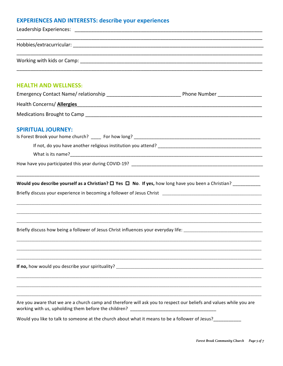#### **EXPERIENCES AND INTERESTS: describe your experiences**

| <b>HEALTH AND WELLNESS:</b>                                                                                                                                                                             |  |
|---------------------------------------------------------------------------------------------------------------------------------------------------------------------------------------------------------|--|
|                                                                                                                                                                                                         |  |
| Health Concerns/ Allergies                                                                                                                                                                              |  |
|                                                                                                                                                                                                         |  |
| <b>SPIRITUAL JOURNEY:</b>                                                                                                                                                                               |  |
|                                                                                                                                                                                                         |  |
|                                                                                                                                                                                                         |  |
|                                                                                                                                                                                                         |  |
|                                                                                                                                                                                                         |  |
|                                                                                                                                                                                                         |  |
| Briefly discuss how being a follower of Jesus Christ influences your everyday life:                                                                                                                     |  |
|                                                                                                                                                                                                         |  |
|                                                                                                                                                                                                         |  |
|                                                                                                                                                                                                         |  |
| Are you aware that we are a church camp and therefore will ask you to respect our beliefs and values while you are<br>working with us, upholding them before the children? ____________________________ |  |
| Would you like to talk to someone at the church about what it means to be a follower of Jesus?                                                                                                          |  |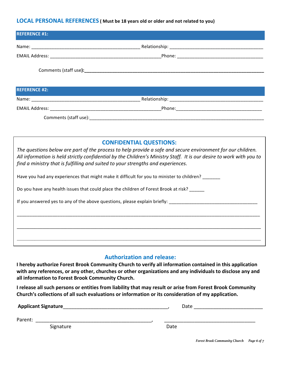#### **LOCAL PERSONAL REFERENCES** ( Must be 18 years old or older and not related to you)

| <b>REFERENCE #1:</b> |  |
|----------------------|--|
|                      |  |
|                      |  |
|                      |  |
| <b>REFERENCE #2:</b> |  |
|                      |  |
|                      |  |
|                      |  |

#### **CONFIDENTIAL QUESTIONS:**

The questions below are part of the process to help provide a safe and secure environment for our children. All information is held strictly confidential by the Children's Ministry Staff. It is our desire to work with you to *find a ministry that is fulfilling and suited to your strengths and experiences.* 

| Have you had any experiences that might make it difficult for you to minister to children?                     |  |  |  |  |
|----------------------------------------------------------------------------------------------------------------|--|--|--|--|
| Do you have any health issues that could place the children of Forest Brook at risk?                           |  |  |  |  |
| If you answered yes to any of the above questions, please explain briefly: ___________________________________ |  |  |  |  |
|                                                                                                                |  |  |  |  |
|                                                                                                                |  |  |  |  |

#### **Authorization and release:**

 $\mathcal{L}_\mathcal{L} = \mathcal{L}_\mathcal{L} = \mathcal{L}_\mathcal{L} = \mathcal{L}_\mathcal{L} = \mathcal{L}_\mathcal{L} = \mathcal{L}_\mathcal{L} = \mathcal{L}_\mathcal{L} = \mathcal{L}_\mathcal{L} = \mathcal{L}_\mathcal{L} = \mathcal{L}_\mathcal{L} = \mathcal{L}_\mathcal{L} = \mathcal{L}_\mathcal{L} = \mathcal{L}_\mathcal{L} = \mathcal{L}_\mathcal{L} = \mathcal{L}_\mathcal{L} = \mathcal{L}_\mathcal{L} = \mathcal{L}_\mathcal{L}$ 

**I** hereby authorize Forest Brook Community Church to verify all information contained in this application with any references, or any other, churches or other organizations and any individuals to disclose any and all information to Forest Brook Community Church.

**I** release all such persons or entities from liability that may result or arise from Forest Brook Community Church's collections of all such evaluations or information or its consideration of my application.

| <b>Applicant Signature</b> | Date |  |
|----------------------------|------|--|
| Parent:                    |      |  |
| Signature                  | Date |  |